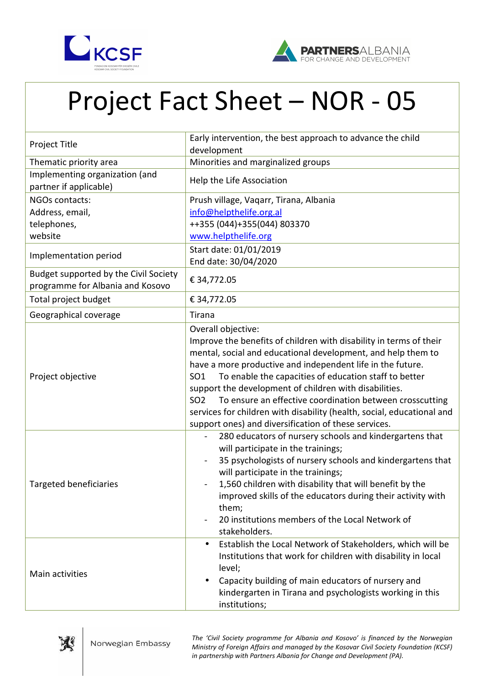



## Project Fact Sheet – NOR - 05

| Project Title                                                             | Early intervention, the best approach to advance the child<br>development                                                                                                                                                                                                                                                                                                                                                                                                                                                                                                     |
|---------------------------------------------------------------------------|-------------------------------------------------------------------------------------------------------------------------------------------------------------------------------------------------------------------------------------------------------------------------------------------------------------------------------------------------------------------------------------------------------------------------------------------------------------------------------------------------------------------------------------------------------------------------------|
| Thematic priority area                                                    | Minorities and marginalized groups                                                                                                                                                                                                                                                                                                                                                                                                                                                                                                                                            |
| Implementing organization (and<br>partner if applicable)                  | Help the Life Association                                                                                                                                                                                                                                                                                                                                                                                                                                                                                                                                                     |
| NGOs contacts:<br>Address, email,<br>telephones,<br>website               | Prush village, Vaqarr, Tirana, Albania<br>info@helpthelife.org.al<br>++355 (044)+355 (044) 803370<br>www.helpthelife.org                                                                                                                                                                                                                                                                                                                                                                                                                                                      |
| Implementation period                                                     | Start date: 01/01/2019<br>End date: 30/04/2020                                                                                                                                                                                                                                                                                                                                                                                                                                                                                                                                |
| Budget supported by the Civil Society<br>programme for Albania and Kosovo | € 34,772.05                                                                                                                                                                                                                                                                                                                                                                                                                                                                                                                                                                   |
| Total project budget                                                      | € 34,772.05                                                                                                                                                                                                                                                                                                                                                                                                                                                                                                                                                                   |
| Geographical coverage                                                     | Tirana                                                                                                                                                                                                                                                                                                                                                                                                                                                                                                                                                                        |
| Project objective                                                         | Overall objective:<br>Improve the benefits of children with disability in terms of their<br>mental, social and educational development, and help them to<br>have a more productive and independent life in the future.<br>To enable the capacities of education staff to better<br>SO <sub>1</sub><br>support the development of children with disabilities.<br>SO <sub>2</sub><br>To ensure an effective coordination between crosscutting<br>services for children with disability (health, social, educational and<br>support ones) and diversification of these services. |
| <b>Targeted beneficiaries</b>                                             | 280 educators of nursery schools and kindergartens that<br>will participate in the trainings;<br>35 psychologists of nursery schools and kindergartens that<br>will participate in the trainings;<br>1,560 children with disability that will benefit by the<br>improved skills of the educators during their activity with<br>them;<br>20 institutions members of the Local Network of<br>stakeholders.                                                                                                                                                                      |
| Main activities                                                           | Establish the Local Network of Stakeholders, which will be<br>$\bullet$<br>Institutions that work for children with disability in local<br>level;<br>Capacity building of main educators of nursery and<br>$\bullet$<br>kindergarten in Tirana and psychologists working in this<br>institutions;                                                                                                                                                                                                                                                                             |



*The 'Civil Society programme for Albania and Kosovo' is financed by the Norwegian Ministry of Foreign Affairs and managed by the Kosovar Civil Society Foundation (KCSF) in partnership with Partners Albania for Change and Development (PA).*